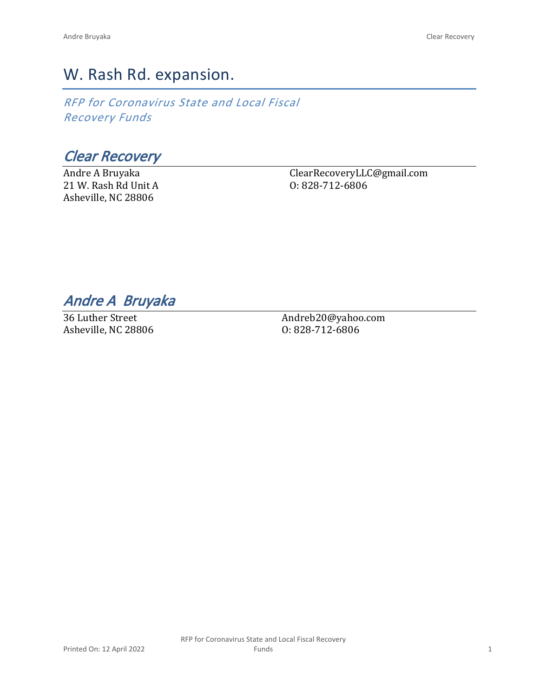# W. Rash Rd. expansion.

*RFP for Coronavirus State and Local Fiscal Recovery Funds*

*Clear Recovery*

Andre A Bruyaka 21 W. Rash Rd Unit A Asheville, NC 28806

ClearRecoveryLLC@gmail.com O: 828-712-6806

*Andre A Bruyaka* 

36 Luther Street Asheville, NC 28806

Andreb20@yahoo.com O: 828-712-6806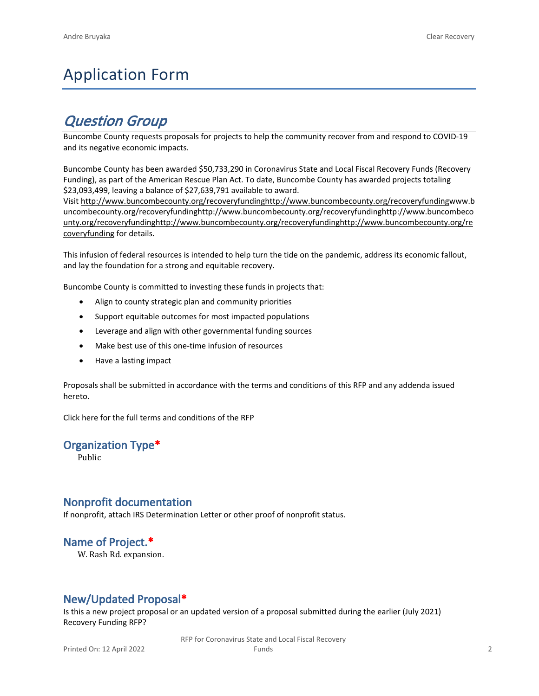# Application Form

# *Question Group*

Buncombe County requests proposals for projects to help the community recover from and respond to COVID-19 and its negative economic impacts.

Buncombe County has been awarded \$50,733,290 in Coronavirus State and Local Fiscal Recovery Funds (Recovery Funding), as part of the American Rescue Plan Act. To date, Buncombe County has awarded projects totaling \$23,093,499, leaving a balance of \$27,639,791 available to award.

Visit [http://www.buncombecounty.org/recoveryfundinghttp://www.buncombecounty.org/recoveryfundingwww.b](http://www.buncombecounty.org/recoveryfunding) [uncombecounty.org/recoveryfundinghttp://www.buncombecounty.org/recoveryfundinghttp://www.buncombeco](http://www.buncombecounty.org/recoveryfunding) [unty.org/recoveryfundinghttp://www.buncombecounty.org/recoveryfundinghttp://www.buncombecounty.org/re](http://www.buncombecounty.org/recoveryfunding) [coveryfunding](http://www.buncombecounty.org/recoveryfunding) for details.

This infusion of federal resources is intended to help turn the tide on the pandemic, address its economic fallout, and lay the foundation for a strong and equitable recovery.

Buncombe County is committed to investing these funds in projects that:

- Align to county strategic plan and community priorities
- Support equitable outcomes for most impacted populations
- Leverage and align with other governmental funding sources
- Make best use of this one-time infusion of resources
- Have a lasting impact

Proposals shall be submitted in accordance with the terms and conditions of this RFP and any addenda issued hereto.

Click [here](https://www.buncombecounty.org/common/purchasing/Buncombe%20Recovery%20Funding%20RFP%202022.pdf) for the full terms and conditions of the RFP

#### **Organization Type\***

Public

#### **Nonprofit documentation**

If nonprofit, attach IRS Determination Letter or other proof of nonprofit status.

## **Name of Project.\***

W. Rash Rd. expansion.

## **New/Updated Proposal\***

Is this a new project proposal or an updated version of a proposal submitted during the earlier (July 2021) Recovery Funding RFP?

> RFP for Coronavirus State and Local Fiscal Recovery Funds 2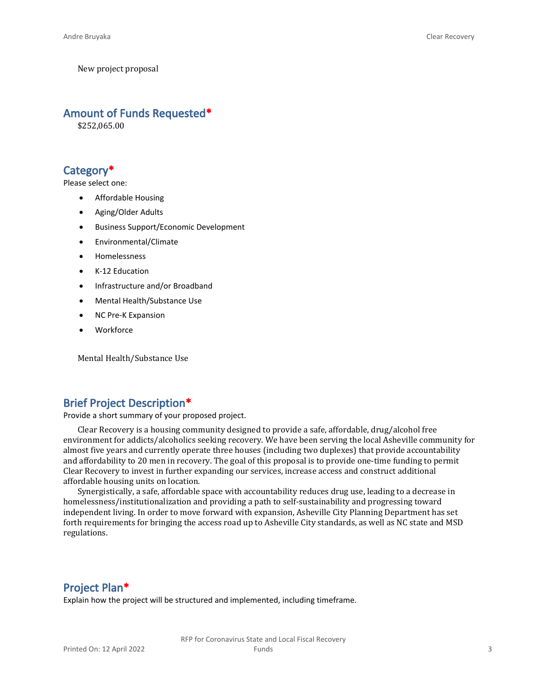New project proposal

#### **Amount of Funds Requested\***

\$252,065.00

#### **Category\***

Please select one:

- Affordable Housing
- Aging/Older Adults
- Business Support/Economic Development
- Environmental/Climate
- Homelessness
- K-12 Education
- Infrastructure and/or Broadband
- Mental Health/Substance Use
- NC Pre-K Expansion
- **Workforce**

Mental Health/Substance Use

## **Brief Project Description\***

Provide a short summary of your proposed project.

Clear Recovery is a housing community designed to provide a safe, affordable, drug/alcohol free environment for addicts/alcoholics seeking recovery. We have been serving the local Asheville community for almost five years and currently operate three houses (including two duplexes) that provide accountability and affordability to 20 men in recovery. The goal of this proposal is to provide one-time funding to permit Clear Recovery to invest in further expanding our services, increase access and construct additional affordable housing units on location.

Synergistically, a safe, affordable space with accountability reduces drug use, leading to a decrease in homelessness/institutionalization and providing a path to self-sustainability and progressing toward independent living. In order to move forward with expansion, Asheville City Planning Department has set forth requirements for bringing the access road up to Asheville City standards, as well as NC state and MSD regulations.

#### **Project Plan\***

Explain how the project will be structured and implemented, including timeframe.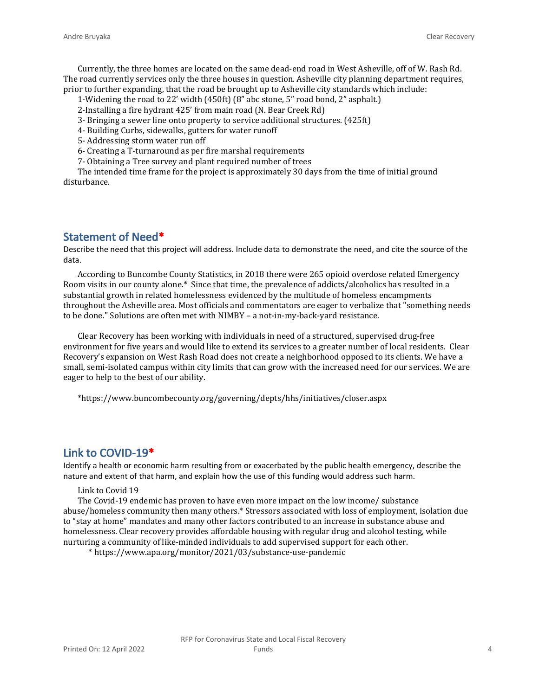Currently, the three homes are located on the same dead-end road in West Asheville, off of W. Rash Rd. The road currently services only the three houses in question. Asheville city planning department requires, prior to further expanding, that the road be brought up to Asheville city standards which include:

- 1-Widening the road to 22' width (450ft) (8" abc stone, 5" road bond, 2" asphalt.)
- 2-Installing a fire hydrant 425' from main road (N. Bear Creek Rd)
- 3- Bringing a sewer line onto property to service additional structures. (425ft)
- 4- Building Curbs, sidewalks, gutters for water runoff
- 5- Addressing storm water run off
- 6- Creating a T-turnaround as per fire marshal requirements
- 7- Obtaining a Tree survey and plant required number of trees

The intended time frame for the project is approximately 30 days from the time of initial ground disturbance.

#### **Statement of Need\***

Describe the need that this project will address. Include data to demonstrate the need, and cite the source of the data.

According to Buncombe County Statistics, in 2018 there were 265 opioid overdose related Emergency Room visits in our county alone.\* Since that time, the prevalence of addicts/alcoholics has resulted in a substantial growth in related homelessness evidenced by the multitude of homeless encampments throughout the Asheville area. Most officials and commentators are eager to verbalize that "something needs to be done." Solutions are often met with NIMBY – a not-in-my-back-yard resistance.

Clear Recovery has been working with individuals in need of a structured, supervised drug-free environment for five years and would like to extend its services to a greater number of local residents. Clear Recovery's expansion on West Rash Road does not create a neighborhood opposed to its clients. We have a small, semi-isolated campus within city limits that can grow with the increased need for our services. We are eager to help to the best of our ability.

\*https://www.buncombecounty.org/governing/depts/hhs/initiatives/closer.aspx

#### **Link to COVID-19\***

Identify a health or economic harm resulting from or exacerbated by the public health emergency, describe the nature and extent of that harm, and explain how the use of this funding would address such harm.

Link to Covid 19

The Covid-19 endemic has proven to have even more impact on the low income/ substance abuse/homeless community then many others.\* Stressors associated with loss of employment, isolation due to "stay at home" mandates and many other factors contributed to an increase in substance abuse and homelessness. Clear recovery provides affordable housing with regular drug and alcohol testing, while nurturing a community of like-minded individuals to add supervised support for each other.

\* https://www.apa.org/monitor/2021/03/substance-use-pandemic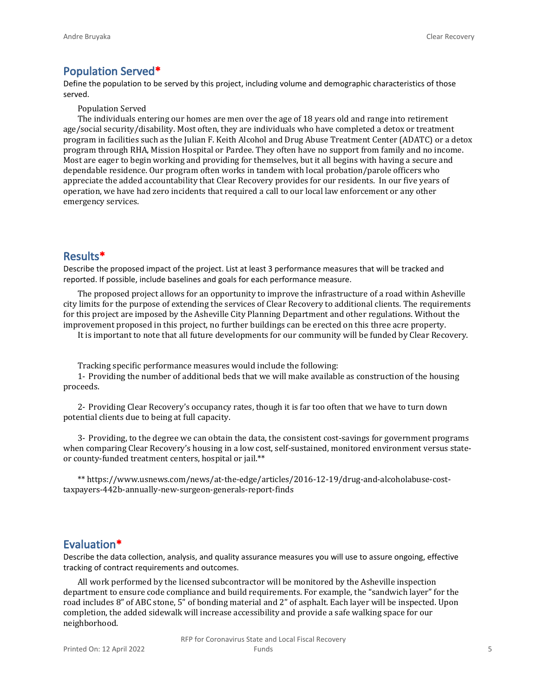# **Population Served\***

Define the population to be served by this project, including volume and demographic characteristics of those served.

Population Served

The individuals entering our homes are men over the age of 18 years old and range into retirement age/social security/disability. Most often, they are individuals who have completed a detox or treatment program in facilities such as the Julian F. Keith Alcohol and Drug Abuse Treatment Center (ADATC) or a detox program through RHA, Mission Hospital or Pardee. They often have no support from family and no income. Most are eager to begin working and providing for themselves, but it all begins with having a secure and dependable residence. Our program often works in tandem with local probation/parole officers who appreciate the added accountability that Clear Recovery provides for our residents. In our five years of operation, we have had zero incidents that required a call to our local law enforcement or any other emergency services.

#### **Results\***

Describe the proposed impact of the project. List at least 3 performance measures that will be tracked and reported. If possible, include baselines and goals for each performance measure.

The proposed project allows for an opportunity to improve the infrastructure of a road within Asheville city limits for the purpose of extending the services of Clear Recovery to additional clients. The requirements for this project are imposed by the Asheville City Planning Department and other regulations. Without the improvement proposed in this project, no further buildings can be erected on this three acre property.

It is important to note that all future developments for our community will be funded by Clear Recovery.

Tracking specific performance measures would include the following:

1- Providing the number of additional beds that we will make available as construction of the housing proceeds.

2- Providing Clear Recovery's occupancy rates, though it is far too often that we have to turn down potential clients due to being at full capacity.

3- Providing, to the degree we can obtain the data, the consistent cost-savings for government programs when comparing Clear Recovery's housing in a low cost, self-sustained, monitored environment versus stateor county-funded treatment centers, hospital or jail.\*\*

\*\* https://www.usnews.com/news/at-the-edge/articles/2016-12-19/drug-and-alcoholabuse-costtaxpayers-442b-annually-new-surgeon-generals-report-finds

#### **Evaluation\***

Describe the data collection, analysis, and quality assurance measures you will use to assure ongoing, effective tracking of contract requirements and outcomes.

All work performed by the licensed subcontractor will be monitored by the Asheville inspection department to ensure code compliance and build requirements. For example, the "sandwich layer" for the road includes 8" of ABC stone, 5" of bonding material and 2" of asphalt. Each layer will be inspected. Upon completion, the added sidewalk will increase accessibility and provide a safe walking space for our neighborhood.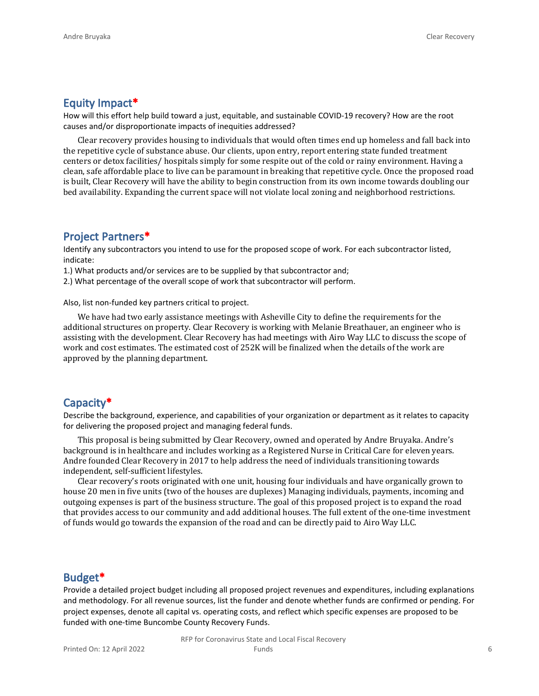#### **Equity Impact\***

How will this effort help build toward a just, equitable, and sustainable COVID-19 recovery? How are the root causes and/or disproportionate impacts of inequities addressed?

Clear recovery provides housing to individuals that would often times end up homeless and fall back into the repetitive cycle of substance abuse. Our clients, upon entry, report entering state funded treatment centers or detox facilities/ hospitals simply for some respite out of the cold or rainy environment. Having a clean, safe affordable place to live can be paramount in breaking that repetitive cycle. Once the proposed road is built, Clear Recovery will have the ability to begin construction from its own income towards doubling our bed availability. Expanding the current space will not violate local zoning and neighborhood restrictions.

#### **Project Partners\***

Identify any subcontractors you intend to use for the proposed scope of work. For each subcontractor listed, indicate:

1.) What products and/or services are to be supplied by that subcontractor and;

2.) What percentage of the overall scope of work that subcontractor will perform.

Also, list non-funded key partners critical to project.

We have had two early assistance meetings with Asheville City to define the requirements for the additional structures on property. Clear Recovery is working with Melanie Breathauer, an engineer who is assisting with the development. Clear Recovery has had meetings with Airo Way LLC to discuss the scope of work and cost estimates. The estimated cost of 252K will be finalized when the details of the work are approved by the planning department.

#### **Capacity\***

Describe the background, experience, and capabilities of your organization or department as it relates to capacity for delivering the proposed project and managing federal funds.

This proposal is being submitted by Clear Recovery, owned and operated by Andre Bruyaka. Andre's background is in healthcare and includes working as a Registered Nurse in Critical Care for eleven years. Andre founded Clear Recovery in 2017 to help address the need of individuals transitioning towards independent, self-sufficient lifestyles.

Clear recovery's roots originated with one unit, housing four individuals and have organically grown to house 20 men in five units (two of the houses are duplexes) Managing individuals, payments, incoming and outgoing expenses is part of the business structure. The goal of this proposed project is to expand the road that provides access to our community and add additional houses. The full extent of the one-time investment of funds would go towards the expansion of the road and can be directly paid to Airo Way LLC.

#### **Budget\***

Provide a detailed project budget including all proposed project revenues and expenditures, including explanations and methodology. For all revenue sources, list the funder and denote whether funds are confirmed or pending. For project expenses, denote all capital vs. operating costs, and reflect which specific expenses are proposed to be funded with one-time Buncombe County Recovery Funds.

> RFP for Coronavirus State and Local Fiscal Recovery Funds 6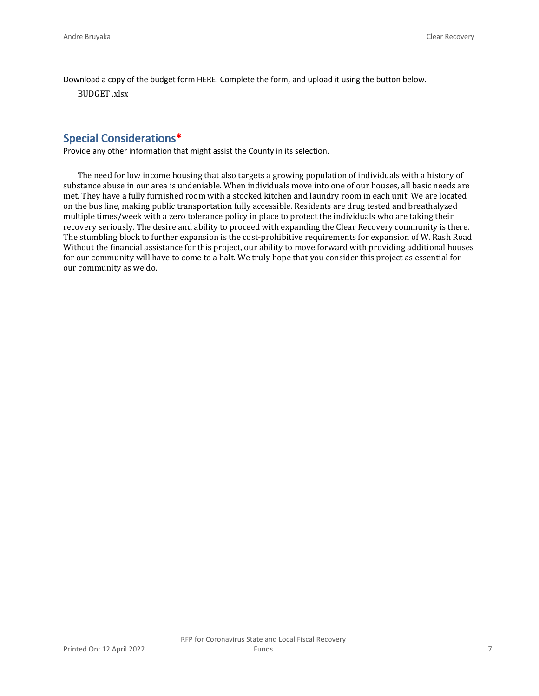Download a copy of the budget form [HERE](https://buncombecounty.org/common/community-investment/grants/early-childhood-education/Recovery-Funds-budget-template.xlsx). Complete the form, and upload it using the button below.

BUDGET .xlsx

### **Special Considerations\***

Provide any other information that might assist the County in its selection.

The need for low income housing that also targets a growing population of individuals with a history of substance abuse in our area is undeniable. When individuals move into one of our houses, all basic needs are met. They have a fully furnished room with a stocked kitchen and laundry room in each unit. We are located on the bus line, making public transportation fully accessible. Residents are drug tested and breathalyzed multiple times/week with a zero tolerance policy in place to protect the individuals who are taking their recovery seriously. The desire and ability to proceed with expanding the Clear Recovery community is there. The stumbling block to further expansion is the cost-prohibitive requirements for expansion of W. Rash Road. Without the financial assistance for this project, our ability to move forward with providing additional houses for our community will have to come to a halt. We truly hope that you consider this project as essential for our community as we do.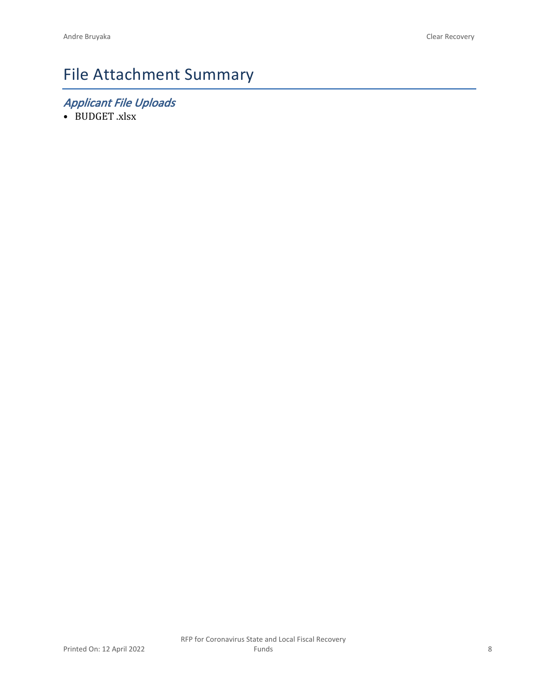# File Attachment Summary

*Applicant File Uploads*

• BUDGET .xlsx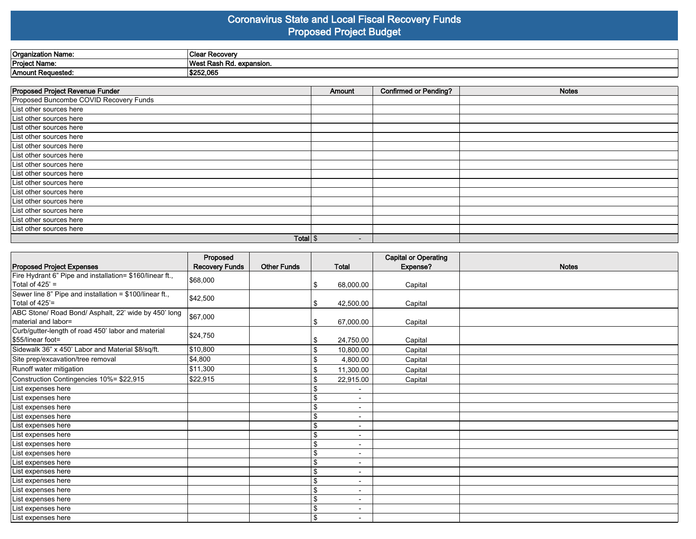#### **Coronavirus State and Local Fiscal Recovery Funds Proposed Project Budget**

| Organization Name: | Recover                         |
|--------------------|---------------------------------|
| Project Name:      | Wes<br>n Rd. expansion<br>nası. |
| Amount Requested:  | ימה ה<br>でつん<br>2.UO:           |

| Proposed Project Revenue Funder        | Amount                   | <b>Confirmed or Pending?</b> | <b>Notes</b> |
|----------------------------------------|--------------------------|------------------------------|--------------|
| Proposed Buncombe COVID Recovery Funds |                          |                              |              |
| List other sources here                |                          |                              |              |
| List other sources here                |                          |                              |              |
| List other sources here                |                          |                              |              |
| List other sources here                |                          |                              |              |
| List other sources here                |                          |                              |              |
| List other sources here                |                          |                              |              |
| List other sources here                |                          |                              |              |
| List other sources here                |                          |                              |              |
| List other sources here                |                          |                              |              |
| List other sources here                |                          |                              |              |
| List other sources here                |                          |                              |              |
| List other sources here                |                          |                              |              |
| List other sources here                |                          |                              |              |
| List other sources here                |                          |                              |              |
| Total $\frac{1}{3}$                    | $\overline{\phantom{0}}$ |                              |              |

|                                                                               | Proposed              |                    |     |                          | <b>Capital or Operating</b> |              |
|-------------------------------------------------------------------------------|-----------------------|--------------------|-----|--------------------------|-----------------------------|--------------|
| <b>Proposed Project Expenses</b>                                              | <b>Recovery Funds</b> | <b>Other Funds</b> |     | <b>Total</b>             | Expense?                    | <b>Notes</b> |
| Fire Hydrant 6" Pipe and installation= \$160/linear ft.,<br>Total of $425' =$ | \$68,000              |                    | 1\$ | 68,000.00                | Capital                     |              |
| Sewer line 8" Pipe and installation = \$100/linear ft.,<br>Total of 425'=     | \$42,500              |                    | Ι\$ | 42,500.00                | Capital                     |              |
| ABC Stone/ Road Bond/ Asphalt, 22' wide by 450' long<br>material and labor=   | \$67,000              |                    | \$  | 67,000.00                | Capital                     |              |
| Curb/gutter-length of road 450' labor and material<br>S55/linear foot=        | \$24,750              |                    | \$  | 24,750.00                | Capital                     |              |
| Sidewalk 36" x 450' Labor and Material \$8/sq/ft.                             | \$10,800              |                    | \$  | 10,800.00                | Capital                     |              |
| Site prep/excavation/tree removal                                             | \$4,800               |                    | \$  | 4,800.00                 | Capital                     |              |
| Runoff water mitigation                                                       | \$11,300              |                    | \$  | 11,300.00                | Capital                     |              |
| Construction Contingencies 10%= \$22,915                                      | \$22,915              |                    | \$  | 22,915.00                | Capital                     |              |
| List expenses here                                                            |                       |                    |     |                          |                             |              |
| List expenses here                                                            |                       |                    | \$  | $\overline{a}$           |                             |              |
| List expenses here                                                            |                       |                    | \$  | $\overline{\phantom{0}}$ |                             |              |
| List expenses here                                                            |                       |                    | \$  | $\overline{\phantom{0}}$ |                             |              |
| List expenses here                                                            |                       |                    | \$  | $\overline{\phantom{a}}$ |                             |              |
| List expenses here                                                            |                       |                    | \$  | $\overline{\phantom{a}}$ |                             |              |
| List expenses here                                                            |                       |                    | \$  | $\blacksquare$           |                             |              |
| List expenses here                                                            |                       |                    |     | $\overline{\phantom{0}}$ |                             |              |
| List expenses here                                                            |                       |                    | \$  | $\overline{\phantom{0}}$ |                             |              |
| List expenses here                                                            |                       |                    | \$  |                          |                             |              |
| List expenses here                                                            |                       |                    | \$  | $\blacksquare$           |                             |              |
| List expenses here                                                            |                       |                    | \$  | $\overline{\phantom{a}}$ |                             |              |
| List expenses here                                                            |                       |                    | \$  | $\overline{\phantom{0}}$ |                             |              |
| List expenses here                                                            |                       |                    | \$  | $\blacksquare$           |                             |              |
| List expenses here                                                            |                       |                    | 5   | $\overline{\phantom{0}}$ |                             |              |